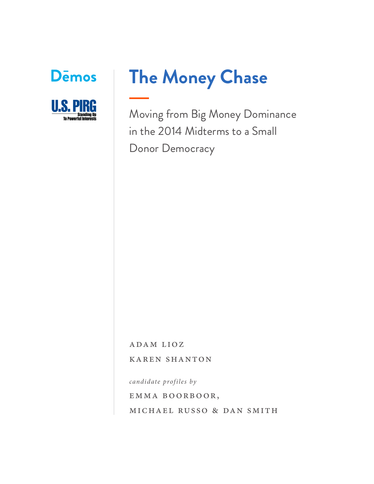



# **The Money Chase**

Moving from Big Money Dominance in the 2014 Midterms to a Small Donor Democracy

ADAM LIOZ

karen shanton

*candidate profiles by*

emma boorboor,

michael russo & dan smith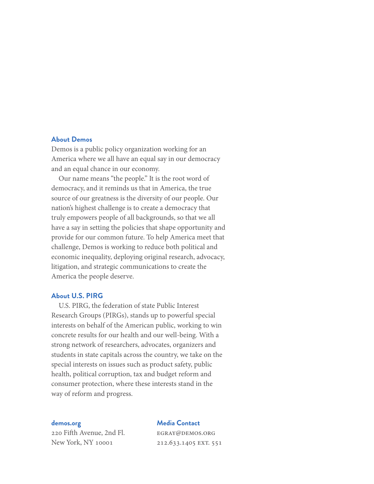# **About Demos**

Demos is a public policy organization working for an America where we all have an equal say in our democracy and an equal chance in our economy.

Our name means "the people." It is the root word of democracy, and it reminds us that in America, the true source of our greatness is the diversity of our people. Our nation's highest challenge is to create a democracy that truly empowers people of all backgrounds, so that we all have a say in setting the policies that shape opportunity and provide for our common future. To help America meet that challenge, Demos is working to reduce both political and economic inequality, deploying original research, advocacy, litigation, and strategic communications to create the America the people deserve.

## **About U.S. PIRG**

U.S. PIRG, the federation of state Public Interest Research Groups (PIRGs), stands up to powerful special interests on behalf of the American public, working to win concrete results for our health and our well-being. With a strong network of researchers, advocates, organizers and students in state capitals across the country, we take on the special interests on issues such as product safety, public health, political corruption, tax and budget reform and consumer protection, where these interests stand in the way of reform and progress.

#### **demos.org**

220 Fifth Avenue, 2nd Fl. New York, NY 10001

#### **Media Contact**

egray@demos.org 212.633.1405 EXT. 551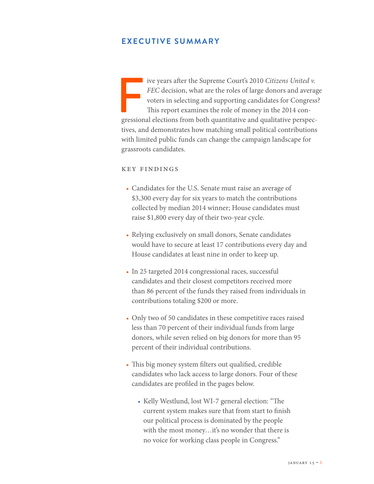# **EXECUTIVE SUMMARY**

FEC decision, what are the roles of large donors and average voters in selecting and supporting candidates for Congress This report examines the role of money in the 2014 congressional elections from both quantitative and *FEC* decision, what are the roles of large donors and average voters in selecting and supporting candidates for Congress? This report examines the role of money in the 2014 contives, and demonstrates how matching small political contributions with limited public funds can change the campaign landscape for grassroots candidates.

#### key findings

- Candidates for the U.S. Senate must raise an average of \$3,300 every day for six years to match the contributions collected by median 2014 winner; House candidates must raise \$1,800 every day of their two-year cycle.
- Relying exclusively on small donors, Senate candidates would have to secure at least 17 contributions every day and House candidates at least nine in order to keep up.
- In 25 targeted 2014 congressional races, successful candidates and their closest competitors received more than 86 percent of the funds they raised from individuals in contributions totaling \$200 or more.
- Only two of 50 candidates in these competitive races raised less than 70 percent of their individual funds from large donors, while seven relied on big donors for more than 95 percent of their individual contributions.
- This big money system filters out qualified, credible candidates who lack access to large donors. Four of these candidates are profiled in the pages below.
	- Kelly Westlund, lost WI-7 general election: "The current system makes sure that from start to finish our political process is dominated by the people with the most money...it's no wonder that there is no voice for working class people in Congress."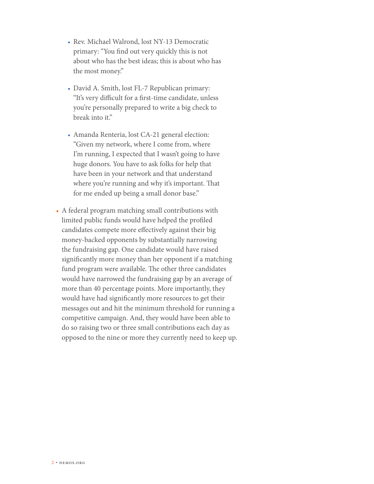- Rev. Michael Walrond, lost NY-13 Democratic primary: "You find out very quickly this is not about who has the best ideas; this is about who has the most money."
- David A. Smith, lost FL-7 Republican primary: "It's very difficult for a first-time candidate, unless you're personally prepared to write a big check to break into it."
- Amanda Renteria, lost CA-21 general election: "Given my network, where I come from, where I'm running, I expected that I wasn't going to have huge donors. You have to ask folks for help that have been in your network and that understand where you're running and why it's important. That for me ended up being a small donor base."
- A federal program matching small contributions with limited public funds would have helped the profiled candidates compete more effectively against their big money-backed opponents by substantially narrowing the fundraising gap. One candidate would have raised significantly more money than her opponent if a matching fund program were available. The other three candidates would have narrowed the fundraising gap by an average of more than 40 percentage points. More importantly, they would have had significantly more resources to get their messages out and hit the minimum threshold for running a competitive campaign. And, they would have been able to do so raising two or three small contributions each day as opposed to the nine or more they currently need to keep up.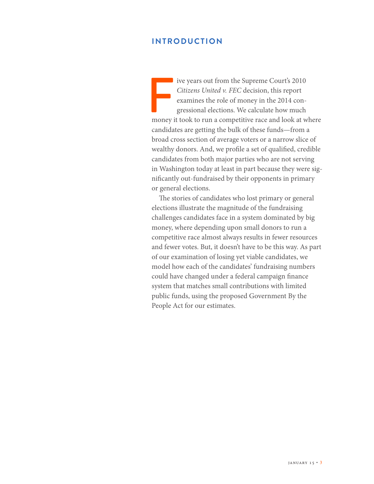# **INTRODUCTION**

Five years out from the Supreme Court's 2010<br>
Citizens United v. FEC decision, this report<br>
examines the role of money in the 2014 con-<br>
gressional elections. We calculate how much<br>
money it took to run a competitive race *Citizens United v. FEC* decision, this report examines the role of money in the 2014 congressional elections. We calculate how much candidates are getting the bulk of these funds—from a broad cross section of average voters or a narrow slice of wealthy donors. And, we profile a set of qualified, credible candidates from both major parties who are not serving in Washington today at least in part because they were significantly out-fundraised by their opponents in primary or general elections.

The stories of candidates who lost primary or general elections illustrate the magnitude of the fundraising challenges candidates face in a system dominated by big money, where depending upon small donors to run a competitive race almost always results in fewer resources and fewer votes. But, it doesn't have to be this way. As part of our examination of losing yet viable candidates, we model how each of the candidates' fundraising numbers could have changed under a federal campaign finance system that matches small contributions with limited public funds, using the proposed Government By the People Act for our estimates.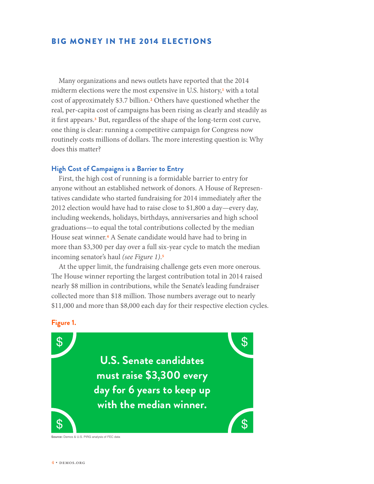# BIG MONEY IN THE 2014 ELECTIONS

Many organizations and news outlets have reported that the 2014 midterm elections were the most expensive in U.S. history, $\frac{1}{1}$  with a total cost of approximately \$3.7 billion.2 Others have questioned whether the real, per-capita cost of campaigns has been rising as clearly and steadily as it first appears.3 But, regardless of the shape of the long-term cost curve, one thing is clear: running a competitive campaign for Congress now routinely costs millions of dollars. The more interesting question is: Why does this matter?

#### **High Cost of Campaigns is a Barrier to Entry**

First, the high cost of running is a formidable barrier to entry for anyone without an established network of donors. A House of Representatives candidate who started fundraising for 2014 immediately after the 2012 election would have had to raise close to \$1,800 a day—every day, including weekends, holidays, birthdays, anniversaries and high school graduations—to equal the total contributions collected by the median House seat winner.4 A Senate candidate would have had to bring in more than \$3,300 per day over a full six-year cycle to match the median incoming senator's haul *(see Figure 1)*.5

At the upper limit, the fundraising challenge gets even more onerous. The House winner reporting the largest contribution total in 2014 raised nearly \$8 million in contributions, while the Senate's leading fundraiser collected more than \$18 million. Those numbers average out to nearly \$11,000 and more than \$8,000 each day for their respective election cycles.

## **Figure 1.**

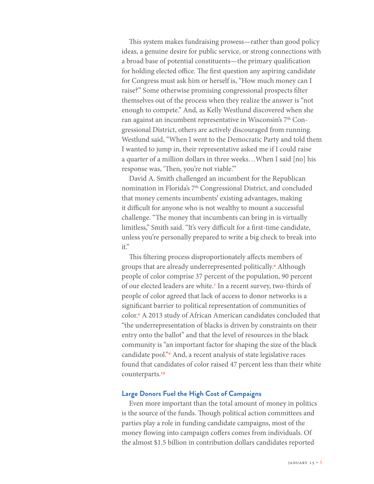This system makes fundraising prowess—rather than good policy ideas, a genuine desire for public service, or strong connections with a broad base of potential constituents—the primary qualification for holding elected office. The first question any aspiring candidate for Congress must ask him or herself is, "How much money can I raise?" Some otherwise promising congressional prospects filter themselves out of the process when they realize the answer is "not enough to compete." And, as Kelly Westlund discovered when she ran against an incumbent representative in Wisconsin's 7th Congressional District, others are actively discouraged from running. Westlund said, "When I went to the Democratic Party and told them I wanted to jump in, their representative asked me if I could raise a quarter of a million dollars in three weeks…When I said [no] his response was, 'Then, you're not viable.'"

David A. Smith challenged an incumbent for the Republican nomination in Florida's 7<sup>th</sup> Congressional District, and concluded that money cements incumbents' existing advantages, making it difficult for anyone who is not wealthy to mount a successful challenge. "The money that incumbents can bring in is virtually limitless," Smith said. "It's very difficult for a first-time candidate, unless you're personally prepared to write a big check to break into it."

This filtering process disproportionately affects members of groups that are already underrepresented politically.6 Although people of color comprise 37 percent of the population, 90 percent of our elected leaders are white.7 In a recent survey, two-thirds of people of color agreed that lack of access to donor networks is a significant barrier to political representation of communities of color.8 A 2013 study of African American candidates concluded that "the underrepresentation of blacks is driven by constraints on their entry onto the ballot" and that the level of resources in the black community is "an important factor for shaping the size of the black candidate pool."9 And, a recent analysis of state legislative races found that candidates of color raised 47 percent less than their white counterparts.10

## **Large Donors Fuel the High Cost of Campaigns**

Even more important than the total amount of money in politics is the source of the funds. Though political action committees and parties play a role in funding candidate campaigns, most of the money flowing into campaign coffers comes from individuals. Of the almost \$1.5 billion in contribution dollars candidates reported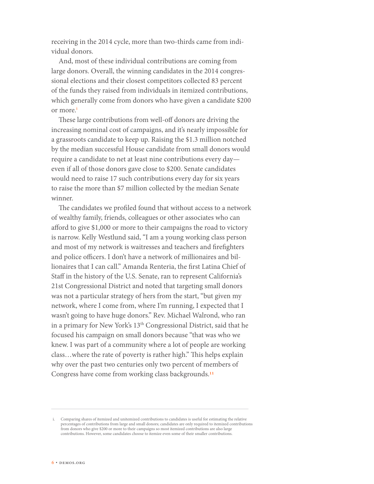receiving in the 2014 cycle, more than two-thirds came from individual donors.

And, most of these individual contributions are coming from large donors. Overall, the winning candidates in the 2014 congressional elections and their closest competitors collected 83 percent of the funds they raised from individuals in itemized contributions, which generally come from donors who have given a candidate \$200 or more.i

These large contributions from well-off donors are driving the increasing nominal cost of campaigns, and it's nearly impossible for a grassroots candidate to keep up. Raising the \$1.3 million notched by the median successful House candidate from small donors would require a candidate to net at least nine contributions every day even if all of those donors gave close to \$200. Senate candidates would need to raise 17 such contributions every day for six years to raise the more than \$7 million collected by the median Senate winner.

The candidates we profiled found that without access to a network of wealthy family, friends, colleagues or other associates who can afford to give \$1,000 or more to their campaigns the road to victory is narrow. Kelly Westlund said, "I am a young working class person and most of my network is waitresses and teachers and firefighters and police officers. I don't have a network of millionaires and billionaires that I can call." Amanda Renteria, the first Latina Chief of Staff in the history of the U.S. Senate, ran to represent California's 21st Congressional District and noted that targeting small donors was not a particular strategy of hers from the start, "but given my network, where I come from, where I'm running, I expected that I wasn't going to have huge donors." Rev. Michael Walrond, who ran in a primary for New York's 13<sup>th</sup> Congressional District, said that he focused his campaign on small donors because "that was who we knew. I was part of a community where a lot of people are working class…where the rate of poverty is rather high." This helps explain why over the past two centuries only two percent of members of Congress have come from working class backgrounds.11

i. Comparing shares of itemized and unitemized contributions to candidates is useful for estimating the relative percentages of contributions from large and small donors; candidates are only required to itemized contributions from donors who give \$200 or more to their campaigns so most itemized contributions are also large contributions. However, some candidates choose to itemize even some of their smaller contributions.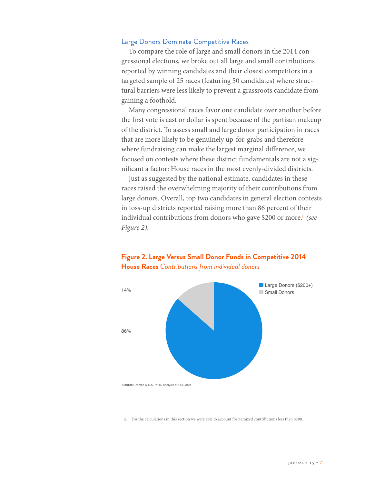## Large Donors Dominate Competitive Races

To compare the role of large and small donors in the 2014 congressional elections, we broke out all large and small contributions reported by winning candidates and their closest competitors in a targeted sample of 25 races (featuring 50 candidates) where structural barriers were less likely to prevent a grassroots candidate from gaining a foothold.

Many congressional races favor one candidate over another before the first vote is cast or dollar is spent because of the partisan makeup of the district. To assess small and large donor participation in races that are more likely to be genuinely up-for-grabs and therefore where fundraising can make the largest marginal difference, we focused on contests where these district fundamentals are not a significant a factor: House races in the most evenly-divided districts.

Just as suggested by the national estimate, candidates in these races raised the overwhelming majority of their contributions from large donors. Overall, top two candidates in general election contests in toss-up districts reported raising more than 86 percent of their individual contributions from donors who gave \$200 or more.<sup>ii</sup> (see *Figure 2)*.



# **House Races** *Contributions from individual donors*

**Figure 2. Large Versus Small Donor Funds in Competitive 2014** 

ii. For the calculations in this section we were able to account for itemized contributions less than \$200.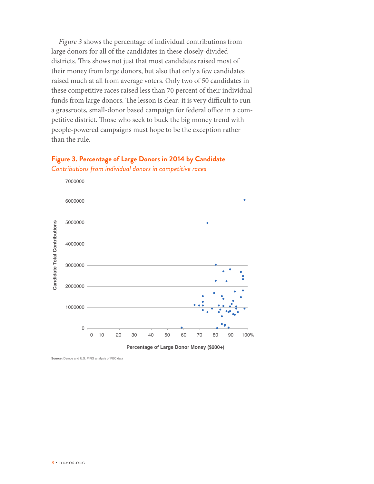*Figure 3* shows the percentage of individual contributions from large donors for all of the candidates in these closely-divided districts. This shows not just that most candidates raised most of their money from large donors, but also that only a few candidates raised much at all from average voters. Only two of 50 candidates in these competitive races raised less than 70 percent of their individual funds from large donors. The lesson is clear: it is very difficult to run a grassroots, small-donor based campaign for federal office in a competitive district. Those who seek to buck the big money trend with people-powered campaigns must hope to be the exception rather than the rule.







**Source:** Demos and U.S. PIRG analysis of FEC data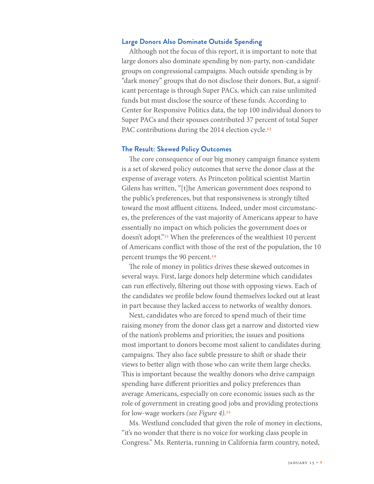## **Large Donors Also Dominate Outside Spending**

Although not the focus of this report, it is important to note that large donors also dominate spending by non-party, non-candidate groups on congressional campaigns. Much outside spending is by "dark money" groups that do not disclose their donors. But, a significant percentage is through Super PACs, which can raise unlimited funds but must disclose the source of these funds. According to Center for Responsive Politics data, the top 100 individual donors to Super PACs and their spouses contributed 37 percent of total Super PAC contributions during the 2014 election cycle.<sup>12</sup>

#### **The Result: Skewed Policy Outcomes**

The core consequence of our big money campaign finance system is a set of skewed policy outcomes that serve the donor class at the expense of average voters. As Princeton political scientist Martin Gilens has written, "[t]he American government does respond to the public's preferences, but that responsiveness is strongly tilted toward the most affluent citizens. Indeed, under most circumstances, the preferences of the vast majority of Americans appear to have essentially no impact on which policies the government does or doesn't adopt."13 When the preferences of the wealthiest 10 percent of Americans conflict with those of the rest of the population, the 10 percent trumps the 90 percent.14

The role of money in politics drives these skewed outcomes in several ways. First, large donors help determine which candidates can run effectively, filtering out those with opposing views. Each of the candidates we profile below found themselves locked out at least in part because they lacked access to networks of wealthy donors.

Next, candidates who are forced to spend much of their time raising money from the donor class get a narrow and distorted view of the nation's problems and priorities; the issues and positions most important to donors become most salient to candidates during campaigns. They also face subtle pressure to shift or shade their views to better align with those who can write them large checks. This is important because the wealthy donors who drive campaign spending have different priorities and policy preferences than average Americans, especially on core economic issues such as the role of government in creating good jobs and providing protections for low-wage workers *(see Figure 4)*.15

Ms. Westlund concluded that given the role of money in elections, "it's no wonder that there is no voice for working class people in Congress." Ms. Renteria, running in California farm country, noted,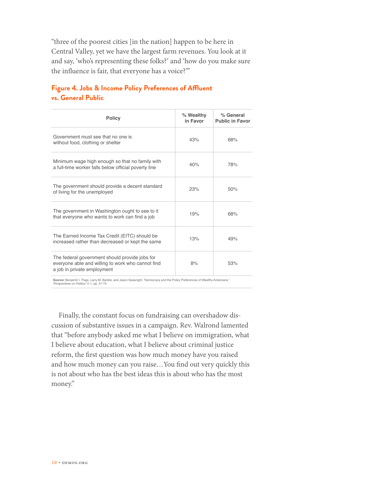"three of the poorest cities [in the nation] happen to be here in Central Valley, yet we have the largest farm revenues. You look at it and say, 'who's representing these folks?' and 'how do you make sure the influence is fair, that everyone has a voice?'"

# **Figure 4. Jobs & Income Policy Preferences of Affluent vs. General Public**

| <b>Policy</b>                                                                                                                      | % Wealthy<br>in Favor | % General<br><b>Public in Favor</b> |
|------------------------------------------------------------------------------------------------------------------------------------|-----------------------|-------------------------------------|
| Government must see that no one is<br>without food, clothing or shelter                                                            | 43%                   | 68%                                 |
| Minimum wage high enough so that no family with<br>a full-time worker falls below official poverty line                            | 40%                   | 78%                                 |
| The government should provide a decent standard<br>of living for the unemployed                                                    | 23%                   | 50%                                 |
| The government in Washington ought to see to it<br>that everyone who wants to work can find a job                                  | 19%                   | 68%                                 |
| The Earned Income Tax Credit (EITC) should be<br>increased rather than decreased or kept the same                                  | 13%                   | 49%                                 |
| The federal government should provide jobs for<br>everyone able and willing to work who cannot find<br>a job in private employment | 8%                    | 53%                                 |

**Source:** Benjamin I. Page, Larry M. Bartels, and Jason Seawright, "Democracy and the Policy Preferences of Wealthy Americans," *Perspectives on Politics* 11:1, pp. 51-73.

Finally, the constant focus on fundraising can overshadow discussion of substantive issues in a campaign. Rev. Walrond lamented that "before anybody asked me what I believe on immigration, what I believe about education, what I believe about criminal justice reform, the first question was how much money have you raised and how much money can you raise…You find out very quickly this is not about who has the best ideas this is about who has the most money."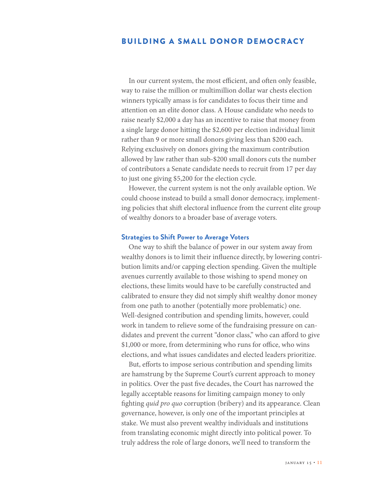# BUILDING A SMALL DONOR DEMOCRACY

In our current system, the most efficient, and often only feasible, way to raise the million or multimillion dollar war chests election winners typically amass is for candidates to focus their time and attention on an elite donor class. A House candidate who needs to raise nearly \$2,000 a day has an incentive to raise that money from a single large donor hitting the \$2,600 per election individual limit rather than 9 or more small donors giving less than \$200 each. Relying exclusively on donors giving the maximum contribution allowed by law rather than sub-\$200 small donors cuts the number of contributors a Senate candidate needs to recruit from 17 per day to just one giving \$5,200 for the election cycle.

However, the current system is not the only available option. We could choose instead to build a small donor democracy, implementing policies that shift electoral influence from the current elite group of wealthy donors to a broader base of average voters.

#### **Strategies to Shift Power to Average Voters**

One way to shift the balance of power in our system away from wealthy donors is to limit their influence directly, by lowering contribution limits and/or capping election spending. Given the multiple avenues currently available to those wishing to spend money on elections, these limits would have to be carefully constructed and calibrated to ensure they did not simply shift wealthy donor money from one path to another (potentially more problematic) one. Well-designed contribution and spending limits, however, could work in tandem to relieve some of the fundraising pressure on candidates and prevent the current "donor class," who can afford to give \$1,000 or more, from determining who runs for office, who wins elections, and what issues candidates and elected leaders prioritize.

But, efforts to impose serious contribution and spending limits are hamstrung by the Supreme Court's current approach to money in politics. Over the past five decades, the Court has narrowed the legally acceptable reasons for limiting campaign money to only fighting *quid pro quo* corruption (bribery) and its appearance. Clean governance, however, is only one of the important principles at stake. We must also prevent wealthy individuals and institutions from translating economic might directly into political power. To truly address the role of large donors, we'll need to transform the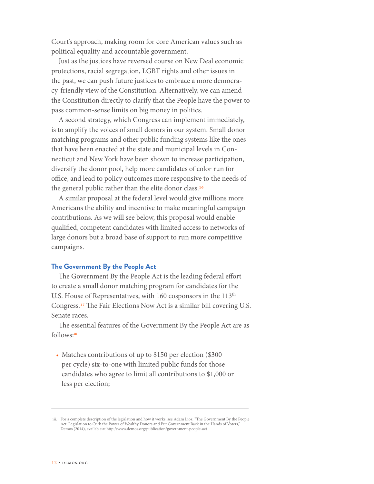Court's approach, making room for core American values such as political equality and accountable government.

Just as the justices have reversed course on New Deal economic protections, racial segregation, LGBT rights and other issues in the past, we can push future justices to embrace a more democracy-friendly view of the Constitution. Alternatively, we can amend the Constitution directly to clarify that the People have the power to pass common-sense limits on big money in politics.

A second strategy, which Congress can implement immediately, is to amplify the voices of small donors in our system. Small donor matching programs and other public funding systems like the ones that have been enacted at the state and municipal levels in Connecticut and New York have been shown to increase participation, diversify the donor pool, help more candidates of color run for office, and lead to policy outcomes more responsive to the needs of the general public rather than the elite donor class.16

A similar proposal at the federal level would give millions more Americans the ability and incentive to make meaningful campaign contributions. As we will see below, this proposal would enable qualified, competent candidates with limited access to networks of large donors but a broad base of support to run more competitive campaigns.

# **The Government By the People Act**

The Government By the People Act is the leading federal effort to create a small donor matching program for candidates for the U.S. House of Representatives, with 160 cosponsors in the 113<sup>th</sup> Congress.17 The Fair Elections Now Act is a similar bill covering U.S. Senate races.

The essential features of the Government By the People Act are as follows:<sup>iii</sup>

• Matches contributions of up to \$150 per election (\$300) per cycle) six-to-one with limited public funds for those candidates who agree to limit all contributions to \$1,000 or less per election;

iii. For a complete description of the legislation and how it works, see Adam Lioz, "The Government By the People Act: Legislation to Curb the Power of Wealthy Donors and Put Government Back in the Hands of Voters," Demos (2014), available at http://www.demos.org/publication/government-people-act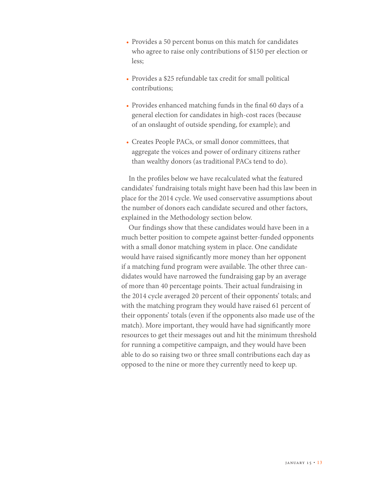- Provides a 50 percent bonus on this match for candidates who agree to raise only contributions of \$150 per election or less;
- Provides a \$25 refundable tax credit for small political contributions;
- Provides enhanced matching funds in the final 60 days of a general election for candidates in high-cost races (because of an onslaught of outside spending, for example); and
- Creates People PACs, or small donor committees, that aggregate the voices and power of ordinary citizens rather than wealthy donors (as traditional PACs tend to do).

In the profiles below we have recalculated what the featured candidates' fundraising totals might have been had this law been in place for the 2014 cycle. We used conservative assumptions about the number of donors each candidate secured and other factors, explained in the Methodology section below.

Our findings show that these candidates would have been in a much better position to compete against better-funded opponents with a small donor matching system in place. One candidate would have raised significantly more money than her opponent if a matching fund program were available. The other three candidates would have narrowed the fundraising gap by an average of more than 40 percentage points. Their actual fundraising in the 2014 cycle averaged 20 percent of their opponents' totals; and with the matching program they would have raised 61 percent of their opponents' totals (even if the opponents also made use of the match). More important, they would have had significantly more resources to get their messages out and hit the minimum threshold for running a competitive campaign, and they would have been able to do so raising two or three small contributions each day as opposed to the nine or more they currently need to keep up.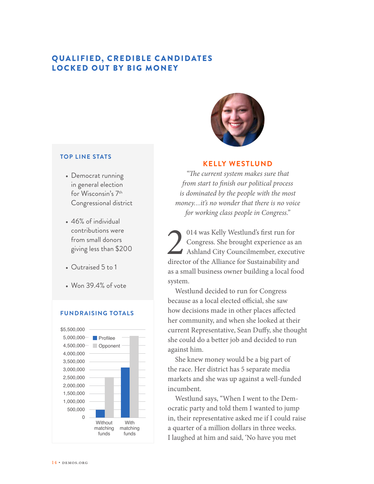# QUALIFIED, CREDIBLE CANDIDATES LOCKED OUT BY BIG MONEY



#### **TOP LINE STATS**

- Democrat running in general election for Wisconsin's 7th Congressional district
- 46% of individual contributions were from small donors giving less than \$200
- Outraised 5 to 1
- Won 39.4% of vote

## **FUNDRAISING TOTALS**



#### **KELLY WESTLUND**

*"The current system makes sure that from start to finish our political process is dominated by the people with the most money…it's no wonder that there is no voice for working class people in Congress."*

014 was Kelly Westlund's first run for<br>Congress. She brought experience as a<br>Ashland City Councilmember, execut<br>director of the Alliance for Sustainability and Congress. She brought experience as an Ashland City Councilmember, executive director of the Alliance for Sustainability and as a small business owner building a local food system.

Westlund decided to run for Congress because as a local elected official, she saw how decisions made in other places affected her community, and when she looked at their current Representative, Sean Duffy, she thought she could do a better job and decided to run against him.

She knew money would be a big part of the race. Her district has 5 separate media markets and she was up against a well-funded incumbent.

Westlund says, "When I went to the Democratic party and told them I wanted to jump in, their representative asked me if I could raise a quarter of a million dollars in three weeks. I laughed at him and said, 'No have you met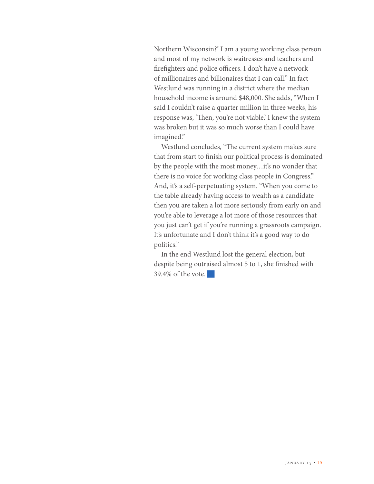Northern Wisconsin?' I am a young working class person and most of my network is waitresses and teachers and firefighters and police officers. I don't have a network of millionaires and billionaires that I can call." In fact Westlund was running in a district where the median household income is around \$48,000. She adds, "When I said I couldn't raise a quarter million in three weeks, his response was, 'Then, you're not viable.' I knew the system was broken but it was so much worse than I could have imagined."

Westlund concludes, "The current system makes sure that from start to finish our political process is dominated by the people with the most money... it's no wonder that there is no voice for working class people in Congress." And, it's a self-perpetuating system. "When you come to the table already having access to wealth as a candidate then you are taken a lot more seriously from early on and you're able to leverage a lot more of those resources that you just can't get if you're running a grassroots campaign. It's unfortunate and I don't think it's a good way to do politics."

In the end Westlund lost the general election, but despite being outraised almost 5 to 1, she finished with  $39.4\%$  of the vote.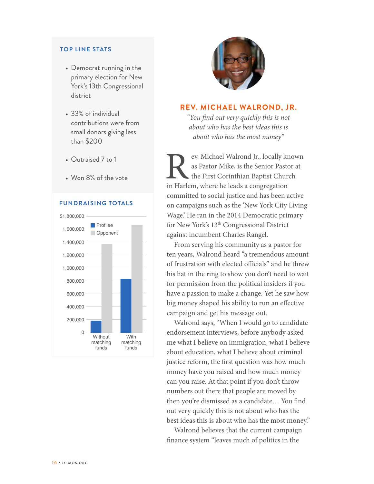#### **TOP LINE STATS**

- Democrat running in the primary election for New York's 13th Congressional district
- 33% of individual contributions were from small donors giving less than \$200
- Outraised 7 to 1
- Won 8% of the vote

# **FUNDRAISING TOTALS**





# **REV. MICHAEL WALROND, JR.**

*"You find out very quickly this is not about who has the best ideas this is about who has the most money"*

ev. Michael Walrond Jr., locally known as Pastor Mike, is the Senior Pastor at the First Corinthian Baptist Church in Harlem, where he leads a congregation committed to social justice and has been active on campaigns such as the 'New York City Living Wage.' He ran in the 2014 Democratic primary for New York's 13th Congressional District against incumbent Charles Rangel.

From serving his community as a pastor for ten years, Walrond heard "a tremendous amount of frustration with elected officials" and he threw his hat in the ring to show you don't need to wait for permission from the political insiders if you have a passion to make a change. Yet he saw how big money shaped his ability to run an effective campaign and get his message out.

Walrond says, "When I would go to candidate endorsement interviews, before anybody asked me what I believe on immigration, what I believe about education, what I believe about criminal justice reform, the first question was how much money have you raised and how much money can you raise. At that point if you don't throw numbers out there that people are moved by then you're dismissed as a candidate… You find out very quickly this is not about who has the best ideas this is about who has the most money."

Walrond believes that the current campaign finance system "leaves much of politics in the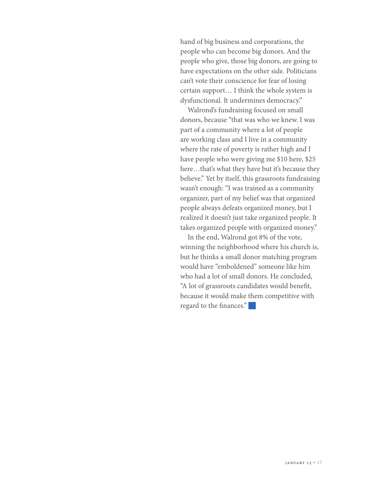hand of big business and corporations, the people who can become big donors. And the people who give, those big donors, are going to have expectations on the other side. Politicians can't vote their conscience for fear of losing certain support… I think the whole system is dysfunctional. It undermines democracy."

Walrond's fundraising focused on small donors, because "that was who we knew. I was part of a community where a lot of people are working class and I live in a community where the rate of poverty is rather high and I have people who were giving me \$10 here, \$25 here…that's what they have but it's because they believe." Yet by itself, this grassroots fundraising wasn't enough: "I was trained as a community organizer, part of my belief was that organized people always defeats organized money, but I realized it doesn't just take organized people. It takes organized people with organized money."

In the end, Walrond got 8% of the vote, winning the neighborhood where his church is, but he thinks a small donor matching program would have "emboldened" someone like him who had a lot of small donors. He concluded, "A lot of grassroots candidates would benefit, because it would make them competitive with regard to the finances."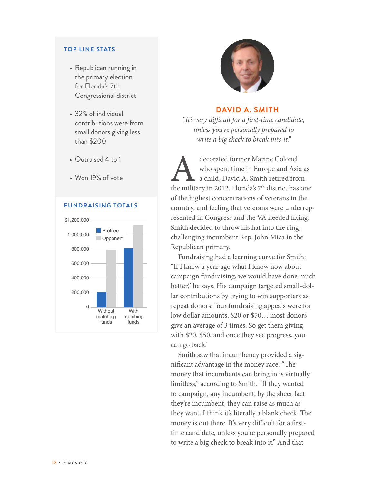## **TOP LINE STATS**

- Republican running in the primary election for Florida's 7th Congressional district
- 32% of individual contributions were from small donors giving less than \$200
- Outraised 4 to 1
- Won 19% of vote

#### **FUNDRAISING TOTALS**





## **DAVID A. SMITH**

*"It's very difficult for a first-time candidate, unless you're personally prepared to write a big check to break into it."* 

decorated former Marine Colonel<br>
who spent time in Europe and Asia as<br>
a child, David A. Smith retired from<br>
the military in 2012. Florida's 7<sup>th</sup> district has one who spent time in Europe and Asia as a child, David A. Smith retired from of the highest concentrations of veterans in the country, and feeling that veterans were underrepresented in Congress and the VA needed fixing, Smith decided to throw his hat into the ring, challenging incumbent Rep. John Mica in the Republican primary.

Fundraising had a learning curve for Smith: "If I knew a year ago what I know now about campaign fundraising, we would have done much better," he says. His campaign targeted small-dollar contributions by trying to win supporters as repeat donors: "our fundraising appeals were for low dollar amounts, \$20 or \$50… most donors give an average of 3 times. So get them giving with \$20, \$50, and once they see progress, you can go back."

Smith saw that incumbency provided a significant advantage in the money race: "The money that incumbents can bring in is virtually limitless," according to Smith. "If they wanted to campaign, any incumbent, by the sheer fact they're incumbent, they can raise as much as they want. I think it's literally a blank check. The money is out there. It's very difficult for a firsttime candidate, unless you're personally prepared to write a big check to break into it." And that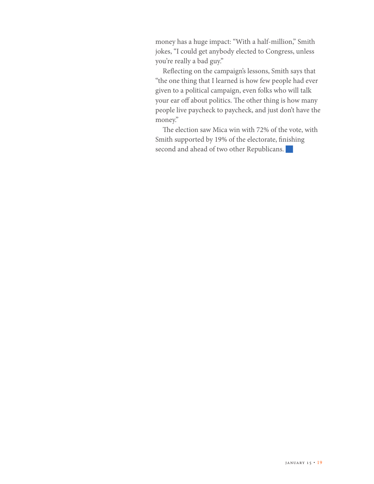money has a huge impact: "With a half-million," Smith jokes, "I could get anybody elected to Congress, unless you're really a bad guy."

Reflecting on the campaign's lessons, Smith says that "the one thing that I learned is how few people had ever given to a political campaign, even folks who will talk your ear off about politics. The other thing is how many people live paycheck to paycheck, and just don't have the money."

The election saw Mica win with 72% of the vote, with Smith supported by 19% of the electorate, finishing second and ahead of two other Republicans.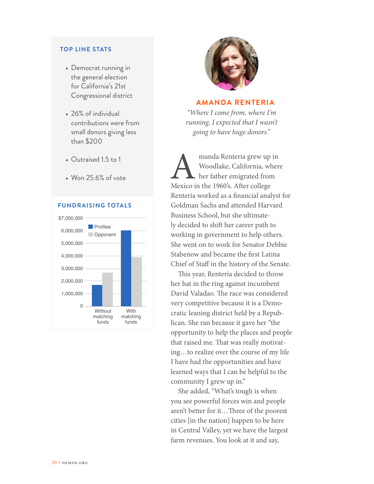#### **TOP LINE STATS**

- Democrat running in the general election for California's 21st Congressional district
- 26% of individual contributions were from small donors giving less than \$200
- Outraised 1.5 to 1
- Won 25.6% of vote

## **FUNDRAISING TOTALS**





# **AMANDA RENTERIA**

*"Where I come from, where I'm running, I expected that I wasn't going to have huge donors."*

manda Renteria grew up in<br>
Woodlake, California, where<br>
her father emigrated from<br>
Mexico in the 1960's. After college Woodlake, California, where her father emigrated from Renteria worked as a financial analyst for Goldman Sachs and attended Harvard Business School, but she ultimately decided to shift her career path to working in government to help others. She went on to work for Senator Debbie Stabenow and became the first Latina Chief of Staff in the history of the Senate.

This year, Renteria decided to throw her hat in the ring against incumbent David Valadao. The race was considered very competitive because it is a Democratic leaning district held by a Republican. She ran because it gave her "the opportunity to help the places and people that raised me. That was really motivating…to realize over the course of my life I have had the opportunities and have learned ways that I can be helpful to the community I grew up in."

She added, "What's tough is when you see powerful forces win and people aren't better for it…Three of the poorest cities [in the nation] happen to be here in Central Valley, yet we have the largest farm revenues. You look at it and say,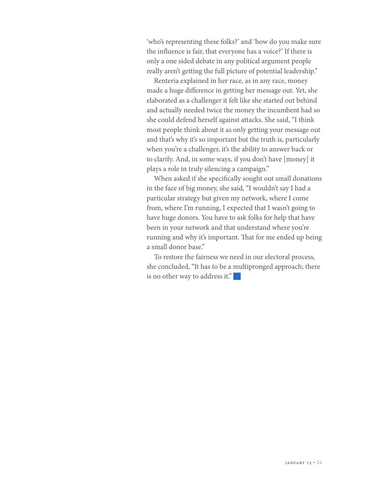'who's representing these folks?' and 'how do you make sure the influence is fair, that everyone has a voice?' If there is only a one sided debate in any political argument people really aren't getting the full picture of potential leadership."

Renteria explained in her race, as in any race, money made a huge difference in getting her message out. Yet, she elaborated as a challenger it felt like she started out behind and actually needed twice the money the incumbent had so she could defend herself against attacks. She said, "I think most people think about it as only getting your message out and that's why it's so important but the truth is, particularly when you're a challenger, it's the ability to answer back or to clarify. And, in some ways, if you don't have [money] it plays a role in truly silencing a campaign."

When asked if she specifically sought out small donations in the face of big money, she said, "I wouldn't say I had a particular strategy but given my network, where I come from, where I'm running, I expected that I wasn't going to have huge donors. You have to ask folks for help that have been in your network and that understand where you're running and why it's important. That for me ended up being a small donor base."

To restore the fairness we need in our electoral process, she concluded, "It has to be a multipronged approach; there is no other way to address it."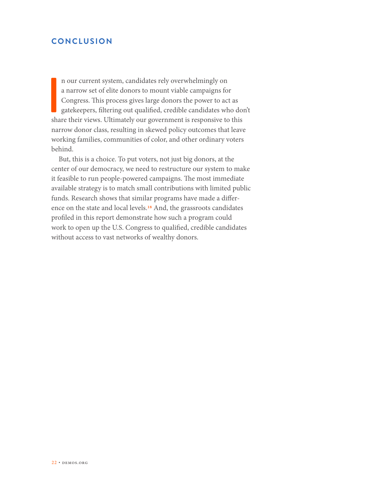# **CONCLUSION**

n our current system, candidates rely overwhelmingly on<br>a narrow set of elite donors to mount viable campaigns for<br>Congress. This process gives large donors the power to act as<br>gatekeepers, filtering out qualified, credibl n our current system, candidates rely overwhelmingly on a narrow set of elite donors to mount viable campaigns for Congress. This process gives large donors the power to act as gatekeepers, filtering out qualified, credible candidates who don't narrow donor class, resulting in skewed policy outcomes that leave working families, communities of color, and other ordinary voters behind.

But, this is a choice. To put voters, not just big donors, at the center of our democracy, we need to restructure our system to make it feasible to run people-powered campaigns. The most immediate available strategy is to match small contributions with limited public funds. Research shows that similar programs have made a difference on the state and local levels.18 And, the grassroots candidates profiled in this report demonstrate how such a program could work to open up the U.S. Congress to qualified, credible candidates without access to vast networks of wealthy donors.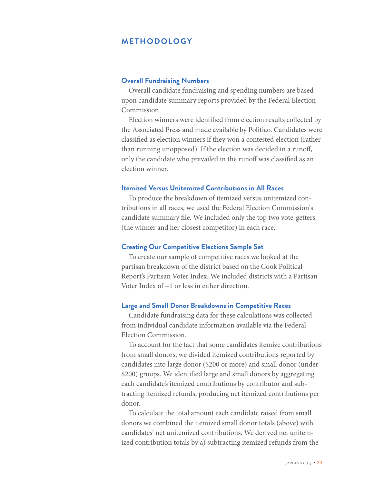# **METHODOLOGY**

## **Overall Fundraising Numbers**

Overall candidate fundraising and spending numbers are based upon candidate summary reports provided by the Federal Election Commission.

Election winners were identified from election results collected by the Associated Press and made available by Politico. Candidates were classified as election winners if they won a contested election (rather than running unopposed). If the election was decided in a runoff, only the candidate who prevailed in the runoff was classified as an election winner.

## **Itemized Versus Unitemized Contributions in All Races**

To produce the breakdown of itemized versus unitemized contributions in all races, we used the Federal Election Commission's candidate summary file. We included only the top two vote-getters (the winner and her closest competitor) in each race.

#### **Creating Our Competitive Elections Sample Set**

To create our sample of competitive races we looked at the partisan breakdown of the district based on the Cook Political Report's Partisan Voter Index. We included districts with a Partisan Voter Index of +1 or less in either direction.

# **Large and Small Donor Breakdowns in Competitive Races**

Candidate fundraising data for these calculations was collected from individual candidate information available via the Federal Election Commission.

To account for the fact that some candidates itemize contributions from small donors, we divided itemized contributions reported by candidates into large donor (\$200 or more) and small donor (under \$200) groups. We identified large and small donors by aggregating each candidate's itemized contributions by contributor and subtracting itemized refunds, producing net itemized contributions per donor.

To calculate the total amount each candidate raised from small donors we combined the itemized small donor totals (above) with candidates' net unitemized contributions. We derived net unitemized contribution totals by a) subtracting itemized refunds from the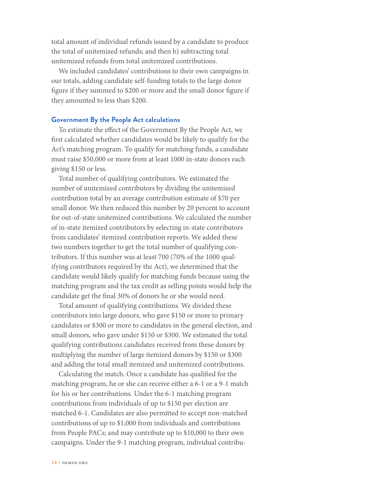total amount of individual refunds issued by a candidate to produce the total of unitemized refunds; and then b) subtracting total unitemized refunds from total unitemized contributions.

We included candidates' contributions to their own campaigns in our totals, adding candidate self-funding totals to the large donor figure if they summed to \$200 or more and the small donor figure if they amounted to less than \$200.

#### **Government By the People Act calculations**

To estimate the effect of the Government By the People Act, we first calculated whether candidates would be likely to qualify for the Act's matching program. To qualify for matching funds, a candidate must raise \$50,000 or more from at least 1000 in-state donors each giving \$150 or less.

Total number of qualifying contributors. We estimated the number of unitemized contributors by dividing the unitemized contribution total by an average contribution estimate of \$70 per small donor. We then reduced this number by 20 percent to account for out-of-state unitemized contributions. We calculated the number of in-state itemized contributors by selecting in-state contributors from candidates' itemized contribution reports. We added these two numbers together to get the total number of qualifying contributors. If this number was at least 700 (70% of the 1000 qualifying contributors required by the Act), we determined that the candidate would likely qualify for matching funds because using the matching program and the tax credit as selling points would help the candidate get the final 30% of donors he or she would need.

Total amount of qualifying contributions. We divided these contributors into large donors, who gave \$150 or more to primary candidates or \$300 or more to candidates in the general election, and small donors, who gave under \$150 or \$300. We estimated the total qualifying contributions candidates received from these donors by multiplying the number of large itemized donors by \$150 or \$300 and adding the total small itemized and unitemized contributions.

Calculating the match. Once a candidate has qualified for the matching program, he or she can receive either a 6-1 or a 9-1 match for his or her contributions. Under the 6-1 matching program contributions from individuals of up to \$150 per election are matched 6-1. Candidates are also permitted to accept non-matched contributions of up to \$1,000 from individuals and contributions from People PACs; and may contribute up to \$10,000 to their own campaigns. Under the 9-1 matching program, individual contribu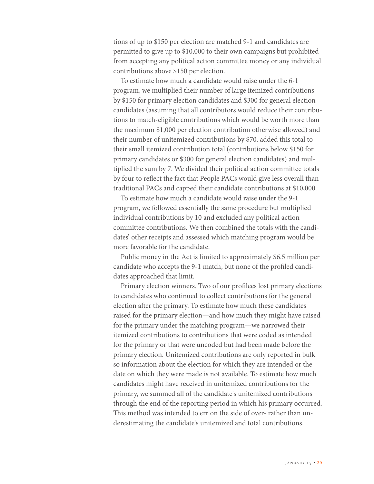tions of up to \$150 per election are matched 9-1 and candidates are permitted to give up to \$10,000 to their own campaigns but prohibited from accepting any political action committee money or any individual contributions above \$150 per election.

To estimate how much a candidate would raise under the 6-1 program, we multiplied their number of large itemized contributions by \$150 for primary election candidates and \$300 for general election candidates (assuming that all contributors would reduce their contributions to match-eligible contributions which would be worth more than the maximum \$1,000 per election contribution otherwise allowed) and their number of unitemized contributions by \$70, added this total to their small itemized contribution total (contributions below \$150 for primary candidates or \$300 for general election candidates) and multiplied the sum by 7. We divided their political action committee totals by four to reflect the fact that People PACs would give less overall than traditional PACs and capped their candidate contributions at \$10,000.

To estimate how much a candidate would raise under the 9-1 program, we followed essentially the same procedure but multiplied individual contributions by 10 and excluded any political action committee contributions. We then combined the totals with the candidates' other receipts and assessed which matching program would be more favorable for the candidate.

Public money in the Act is limited to approximately \$6.5 million per candidate who accepts the 9-1 match, but none of the profiled candidates approached that limit.

Primary election winners. Two of our profilees lost primary elections to candidates who continued to collect contributions for the general election after the primary. To estimate how much these candidates raised for the primary election—and how much they might have raised for the primary under the matching program—we narrowed their itemized contributions to contributions that were coded as intended for the primary or that were uncoded but had been made before the primary election. Unitemized contributions are only reported in bulk so information about the election for which they are intended or the date on which they were made is not available. To estimate how much candidates might have received in unitemized contributions for the primary, we summed all of the candidate's unitemized contributions through the end of the reporting period in which his primary occurred. This method was intended to err on the side of over- rather than underestimating the candidate's unitemized and total contributions.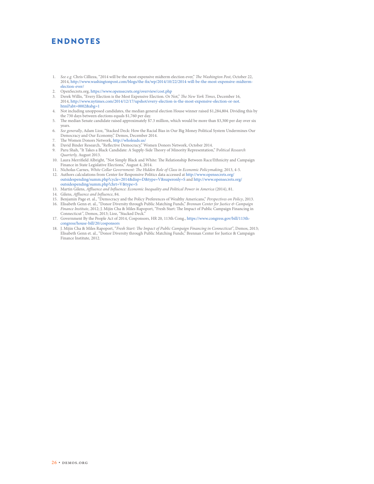# ENDNOTES

- 1. *See e.g.* Chris Cillizza, "2014 will be the most expensive midterm election ever," *The Washington Post*, October 22, 2014, [http://www.washingtonpost.com/blogs/the-fix/wp/2014/10/22/2014-will-be-the-most-expensive-midterm](http://www.washingtonpost.com/blogs/the-fix/wp/2014/10/22/2014-will-be-the-most-expensive-midterm-election-ever/)[election-ever/](http://www.washingtonpost.com/blogs/the-fix/wp/2014/10/22/2014-will-be-the-most-expensive-midterm-election-ever/)
- 
- 2. OpenSecrets.org,<https://www.opensecrets.org/overview/cost.php> 3. Derek Willis, "Every Election is the Most Expensive Election. Or Not," *The New York Times*, December 16, 2014, [http://www.nytimes.com/2014/12/17/upshot/every-election-is-the-most-expensive-election-or-not.](http://www.nytimes.com/2014/12/17/upshot/every-election-is-the-most-expensive-election-or-not.html?abt=0002&abg=1) [html?abt=0002&abg=1](http://www.nytimes.com/2014/12/17/upshot/every-election-is-the-most-expensive-election-or-not.html?abt=0002&abg=1)
- 4. Not including unopposed candidates, the median general election House winner raised \$1,284,804. Dividing this by the 730 days between elections equals \$1,760 per day.
- 5. The median Senate candidate raised approximately \$7.3 million, which would be more than \$3,300 per day over six
- years. 6. *See generally*, Adam Lioz, "Stacked Deck: How the Racial Bias in Our Big Money Political System Undermines Our Democracy and Our Economy," Demos, December 2014.
- 7. The Women Donors Network,<http://wholeads.us/>
- 8. David Binder Research, "Reflective Democracy," Women Donors Network, October 2014.
- 9. Paru Shah, "It Takes a Black Candidate: A Supply-Side Theory of Minority Representation," P*olitical Research Quarterly,* August 2013.
- 10. Laura Merrifield Albright, "Not Simply Black and White: The Relationship Between Race/Ethnicity and Campaign Finance in State Legislative Elections," August 4, 2014.
- 11. Nicholas Carnes, *White Collar Government: The Hidden Role of Class in Economic Policymaking*, 2013, 4-5. 12. Authors calculations from Center for Responsive Politics data accessed at [http://www.opensecrets.org/](http://www.opensecrets.org/outsidespending/summ.php?cycle=2014&disp=D&type=V&superonly=S) [outsidespending/summ.php?cycle=2014&disp=D&type=V&superonly=S](http://www.opensecrets.org/outsidespending/summ.php?cycle=2014&disp=D&type=V&superonly=S) and [http://www.opensecrets.org/](http://www.opensecrets.org/outsidespending/summ.php?chrt=V&type=S)
- [outsidespending/summ.php?chrt=V&type=S](http://www.opensecrets.org/outsidespending/summ.php?chrt=V&type=S)
- 13. Martin Gilens, *Affluence and Influence: Economic Inequality and Political Power in America* (2014), 81.
- 14. Gilens, *Affluence and Influence*, 84.
- 15. Benjamin Page et. al., "Democracy and the Policy Preferences of Wealthy Americans," *Perspectives on Policy*, 2013. 16. Elisabeth Genn et. al., "Donor Diversity through Public Matching Funds," *Brennan Center for Justice & Campaign Finance Institute*, 2012; J. Mijin Cha & Miles Rapoport, "Fresh Start: The Impact of Public Campaign Financing in
- Connecticut*"*, Demos, 2013; Lioz, "Stacked Deck." 17. Government By the People Act of 2014, Cosponsors, HR 20, 113th Cong., [https://www.congress.gov/bill/113th-](https://www.congress.gov/bill/113th-congress/house-bill/20/cosponsors)
- 
- [congress/house-bill/20/cosponsors](https://www.congress.gov/bill/113th-congress/house-bill/20/cosponsors) 18. J. Mijin Cha & Miles Rapoport, "*Fresh Start: The Impact of Public Campaign Financing in Connecticut"*, Demos, 2013; Elisabeth Genn et. al., "Donor Diversity through Public Matching Funds," Brennan Center for Justice & Campaign Finance Institute, 2012.